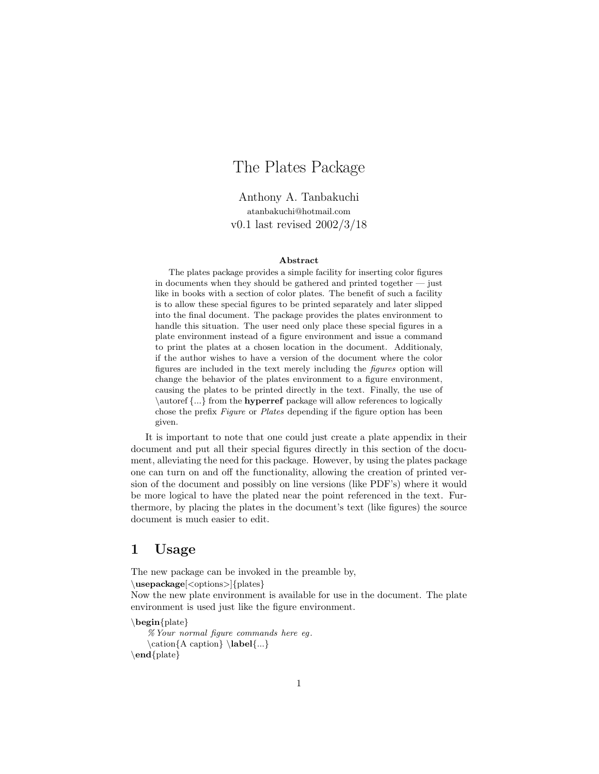# The Plates Package

Anthony A. Tanbakuchi atanbakuchi@hotmail.com v0.1 last revised 2002/3/18

#### Abstract

The plates package provides a simple facility for inserting color figures in documents when they should be gathered and printed together — just like in books with a section of color plates. The benefit of such a facility is to allow these special figures to be printed separately and later slipped into the final document. The package provides the plates environment to handle this situation. The user need only place these special figures in a plate environment instead of a figure environment and issue a command to print the plates at a chosen location in the document. Additionaly, if the author wishes to have a version of the document where the color figures are included in the text merely including the figures option will change the behavior of the plates environment to a figure environment, causing the plates to be printed directly in the text. Finally, the use of \autoref {...} from the **hyperref** package will allow references to logically chose the prefix Figure or Plates depending if the figure option has been given.

It is important to note that one could just create a plate appendix in their document and put all their special figures directly in this section of the document, alleviating the need for this package. However, by using the plates package one can turn on and off the functionality, allowing the creation of printed version of the document and possibly on line versions (like PDF's) where it would be more logical to have the plated near the point referenced in the text. Furthermore, by placing the plates in the document's text (like figures) the source document is much easier to edit.

### 1 Usage

The new package can be invoked in the preamble by,

```
\usepackage[<options>]{plates}
```
Now the new plate environment is available for use in the document. The plate environment is used just like the figure environment.

```
\begin{plate}
```

```
% Your normal figure commands here eg .
   \cation{A caption} \label{...}
\end{plate}
```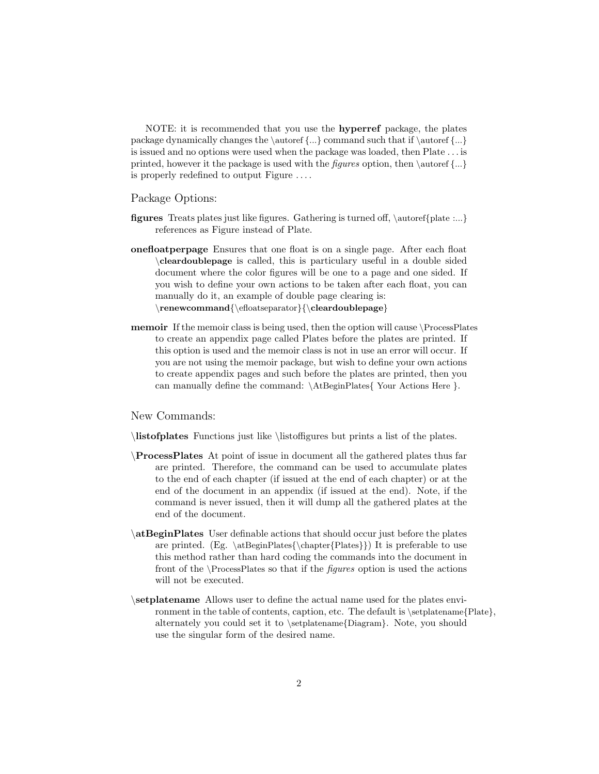NOTE: it is recommended that you use the hyperref package, the plates package dynamically changes the \autoref {...} command such that if \autoref {...} is issued and no options were used when the package was loaded, then Plate . . . is printed, however it the package is used with the *figures* option, then  $\aut{\text{...}}$ is properly redefined to output Figure . . . .

#### Package Options:

- figures Treats plates just like figures. Gathering is turned off, \autoref{plate :...} references as Figure instead of Plate.
- onefloatperpage Ensures that one float is on a single page. After each float \cleardoublepage is called, this is particulary useful in a double sided document where the color figures will be one to a page and one sided. If you wish to define your own actions to be taken after each float, you can manually do it, an example of double page clearing is:  $\rm{red}$  \cleardoublepage}
- memoir If the memoir class is being used, then the option will cause \ProcessPlates to create an appendix page called Plates before the plates are printed. If this option is used and the memoir class is not in use an error will occur. If you are not using the memoir package, but wish to define your own actions to create appendix pages and such before the plates are printed, then you can manually define the command: \AtBeginPlates{ Your Actions Here }.

New Commands:

\listofplates Functions just like \listoffigures but prints a list of the plates.

- \ProcessPlates At point of issue in document all the gathered plates thus far are printed. Therefore, the command can be used to accumulate plates to the end of each chapter (if issued at the end of each chapter) or at the end of the document in an appendix (if issued at the end). Note, if the command is never issued, then it will dump all the gathered plates at the end of the document.
- \atBeginPlates User definable actions that should occur just before the plates are printed. (Eg.  $\atop \cosh(\frac{\cosh(\frac{\theta}{\cosh(\frac{\theta}{\cosh(\frac{\theta}{\cosh(\frac{\theta}{\cosh(\frac{\theta}{\cosh(\frac{\theta}{\cosh(\frac{\theta}{\cosh(\frac{\theta}{\cosh(\frac{\theta}{\cosh(\frac{\theta}{\cosh(\frac{\theta}{\cosh(\frac{\theta}{\cosh(\frac{\theta}{\cosh(\frac{\theta}{\cosh(\frac{\theta}{\cosh(\frac{\theta}{\cosh(\frac{\theta}{\cosh(\frac{\theta}{\cosh(\frac{\theta}{\cosh(\frac{\theta}{\cosh(\frac{\theta}{\cosh(\frac{\theta}{\cosh(\frac{\theta}{\cosh(\frac{\theta}{\c$ this method rather than hard coding the commands into the document in front of the  $\PrecessPlates$  so that if the *figures* option is used the actions will not be executed.
- \setplatename Allows user to define the actual name used for the plates environment in the table of contents, caption, etc. The default is \setplatename{Plate}, alternately you could set it to \setplatename{Diagram}. Note, you should use the singular form of the desired name.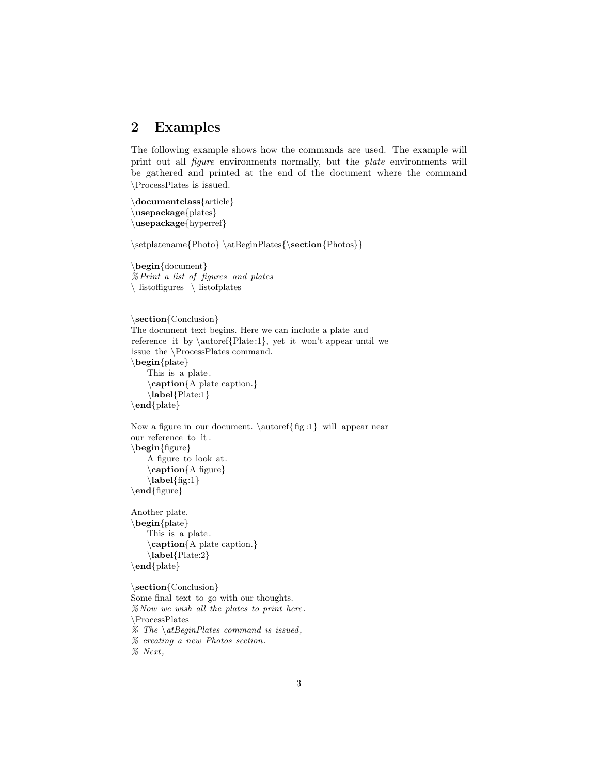### 2 Examples

The following example shows how the commands are used. The example will print out all figure environments normally, but the plate environments will be gathered and printed at the end of the document where the command \ProcessPlates is issued.

```
\documentclass{article}
\usepackage{plates}
\usepackage{hyperref}
```
 $\setminus{\} \atBeginPlates{\textbf{Photo}}$ 

\begin{document} %Print a list of figures and plates \ listoffigures \ listofplates

```
\section{Conclusion}
The document text begins. Here we can include a plate and
reference it by \autoref{Plate:1}, yet it won't appear until we
issue the \ProcessPlates command.
\begin{plate}
   This is a plate.
    \caption{A plate caption.}
    \label{Plate:1}
\end{plate}
```

```
Now a figure in our document. \autoref{fig:1} will appear near
our reference to it .
\begin{figure}
    A figure to look at.
    \caption{A figure}
    \label{fig:1}}\end{figure}
```
Another plate. \begin{plate} This is a plate. \caption{A plate caption.} \label{Plate:2} \end{plate}

```
\section{Conclusion}
Some final text to go with our thoughts.
% Now we wish all the plates to print here.
\ProcessPlates
% The \delta atBeginPlates command is issued,
% creating a new Photos section.
```
% Next ,